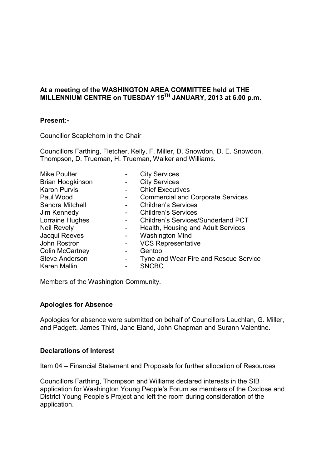## **At a meeting of the WASHINGTON AREA COMMITTEE held at THE MILLENNIUM CENTRE on TUESDAY 15TH JANUARY, 2013 at 6.00 p.m.**

## **Present:-**

Councillor Scaplehorn in the Chair

Councillors Farthing, Fletcher, Kelly, F. Miller, D. Snowdon, D. E. Snowdon, Thompson, D. Trueman, H. Trueman, Walker and Williams.

| <b>Mike Poulter</b>     | <b>City Services</b>                      |
|-------------------------|-------------------------------------------|
| <b>Brian Hodgkinson</b> | <b>City Services</b>                      |
| <b>Karon Purvis</b>     | <b>Chief Executives</b>                   |
| Paul Wood               | <b>Commercial and Corporate Services</b>  |
| Sandra Mitchell         | <b>Children's Services</b>                |
| Jim Kennedy             | <b>Children's Services</b>                |
| Lorraine Hughes         | <b>Children's Services/Sunderland PCT</b> |
| <b>Neil Revely</b>      | Health, Housing and Adult Services        |
| Jacqui Reeves           | <b>Washington Mind</b>                    |
| John Rostron            | <b>VCS Representative</b>                 |
| <b>Colin McCartney</b>  | Gentoo                                    |
| <b>Steve Anderson</b>   | Tyne and Wear Fire and Rescue Service     |
| Karen Mallin            | <b>SNCBC</b>                              |
|                         |                                           |

Members of the Washington Community.

#### **Apologies for Absence**

Apologies for absence were submitted on behalf of Councillors Lauchlan, G. Miller, and Padgett. James Third, Jane Eland, John Chapman and Surann Valentine.

## **Declarations of Interest**

Item 04 – Financial Statement and Proposals for further allocation of Resources

Councillors Farthing, Thompson and Williams declared interests in the SIB application for Washington Young People's Forum as members of the Oxclose and District Young People's Project and left the room during consideration of the application.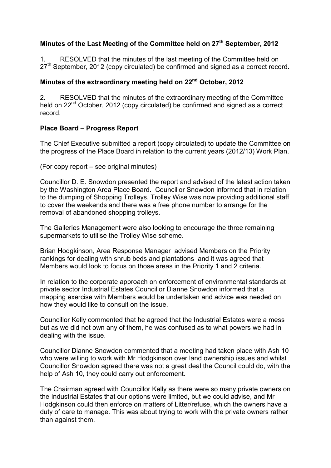# **Minutes of the Last Meeting of the Committee held on 27th September, 2012**

1. RESOLVED that the minutes of the last meeting of the Committee held on  $27<sup>th</sup>$  September, 2012 (copy circulated) be confirmed and signed as a correct record.

# **Minutes of the extraordinary meeting held on 22nd October, 2012**

2. RESOLVED that the minutes of the extraordinary meeting of the Committee held on  $22<sup>nd</sup>$  October, 2012 (copy circulated) be confirmed and signed as a correct record.

# **Place Board – Progress Report**

The Chief Executive submitted a report (copy circulated) to update the Committee on the progress of the Place Board in relation to the current years (2012/13) Work Plan.

(For copy report – see original minutes)

Councillor D. E. Snowdon presented the report and advised of the latest action taken by the Washington Area Place Board. Councillor Snowdon informed that in relation to the dumping of Shopping Trolleys, Trolley Wise was now providing additional staff to cover the weekends and there was a free phone number to arrange for the removal of abandoned shopping trolleys.

The Galleries Management were also looking to encourage the three remaining supermarkets to utilise the Trolley Wise scheme.

Brian Hodgkinson, Area Response Manager advised Members on the Priority rankings for dealing with shrub beds and plantations and it was agreed that Members would look to focus on those areas in the Priority 1 and 2 criteria.

In relation to the corporate approach on enforcement of environmental standards at private sector Industrial Estates Councillor Dianne Snowdon informed that a mapping exercise with Members would be undertaken and advice was needed on how they would like to consult on the issue.

Councillor Kelly commented that he agreed that the Industrial Estates were a mess but as we did not own any of them, he was confused as to what powers we had in dealing with the issue.

Councillor Dianne Snowdon commented that a meeting had taken place with Ash 10 who were willing to work with Mr Hodgkinson over land ownership issues and whilst Councillor Snowdon agreed there was not a great deal the Council could do, with the help of Ash 10, they could carry out enforcement.

The Chairman agreed with Councillor Kelly as there were so many private owners on the Industrial Estates that our options were limited, but we could advise, and Mr Hodgkinson could then enforce on matters of Litter/refuse, which the owners have a duty of care to manage. This was about trying to work with the private owners rather than against them.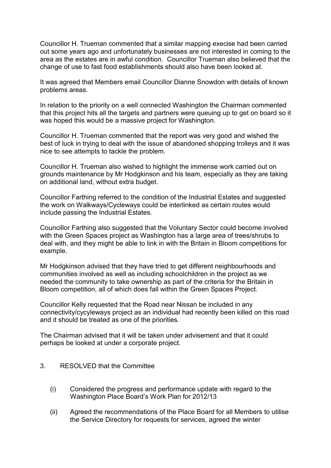Councillor H. Trueman commented that a similar mapping execise had been carried out some years ago and unfortunately businesses are not interested in coming to the area as the estates are in awful condition. Councillor Trueman also believed that the change of use to fast food establishments should also have been looked at.

It was agreed that Members email Councillor Dianne Snowdon with details of known problems areas.

In relation to the priority on a well connected Washington the Chairman commented that this project hits all the targets and partners were queuing up to get on board so it was hoped this would be a massive project for Washington.

Councillor H. Trueman commented that the report was very good and wished the best of luck in trying to deal with the issue of abandoned shopping trolleys and it was nice to see attempts to tackle the problem.

Councillor H. Trueman also wished to highlight the immense work carried out on grounds maintenance by Mr Hodgkinson and his team, especially as they are taking on additional land, without extra budget.

Councillor Farthing referred to the condition of the Industrial Estates and suggested the work on Walkways/Cycleways could be interlinked as certain routes would include passing the Industrial Estates.

Councillor Farthing also suggested that the Voluntary Sector could become involved with the Green Spaces project as Washington has a large area of trees/shrubs to deal with, and they might be able to link in with the Britain in Bloom competitions for example.

Mr Hodgkinson advised that they have tried to get different neighbourhoods and communities involved as well as including schoolchildren in the project as we needed the community to take ownership as part of the criteria for the Britain in Bloom competition, all of which does fall within the Green Spaces Project.

Councillor Kelly requested that the Road near Nissan be included in any connectivity/cycyleways project as an individual had recently been killed on this road and it should be treated as one of the priorities.

The Chairman advised that it will be taken under advisement and that it could perhaps be looked at under a corporate project.

#### 3. RESOLVED that the Committee

- (i) Considered the progress and performance update with regard to the Washington Place Board's Work Plan for 2012/13
- (ii) Agreed the recommendations of the Place Board for all Members to utilise the Service Directory for requests for services, agreed the winter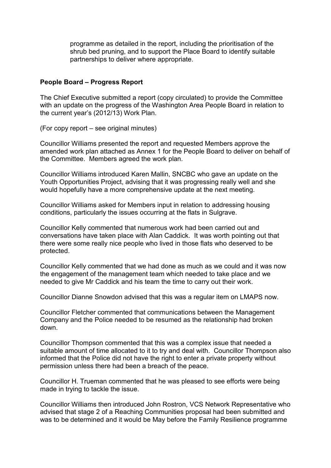programme as detailed in the report, including the prioritisation of the shrub bed pruning, and to support the Place Board to identify suitable partnerships to deliver where appropriate.

### **People Board – Progress Report**

The Chief Executive submitted a report (copy circulated) to provide the Committee with an update on the progress of the Washington Area People Board in relation to the current year's (2012/13) Work Plan.

(For copy report – see original minutes)

Councillor Williams presented the report and requested Members approve the amended work plan attached as Annex 1 for the People Board to deliver on behalf of the Committee. Members agreed the work plan.

Councillor Williams introduced Karen Mallin, SNCBC who gave an update on the Youth Opportunities Project, advising that it was progressing really well and she would hopefully have a more comprehensive update at the next meeting.

Councillor Williams asked for Members input in relation to addressing housing conditions, particularly the issues occurring at the flats in Sulgrave.

Councillor Kelly commented that numerous work had been carried out and conversations have taken place with Alan Caddick. It was worth pointing out that there were some really nice people who lived in those flats who deserved to be protected.

Councillor Kelly commented that we had done as much as we could and it was now the engagement of the management team which needed to take place and we needed to give Mr Caddick and his team the time to carry out their work.

Councillor Dianne Snowdon advised that this was a regular item on LMAPS now.

Councillor Fletcher commented that communications between the Management Company and the Police needed to be resumed as the relationship had broken down.

Councillor Thompson commented that this was a complex issue that needed a suitable amount of time allocated to it to try and deal with. Councillor Thompson also informed that the Police did not have the right to enter a private property without permission unless there had been a breach of the peace.

Councillor H. Trueman commented that he was pleased to see efforts were being made in trying to tackle the issue.

Councillor Williams then introduced John Rostron, VCS Network Representative who advised that stage 2 of a Reaching Communities proposal had been submitted and was to be determined and it would be May before the Family Resilience programme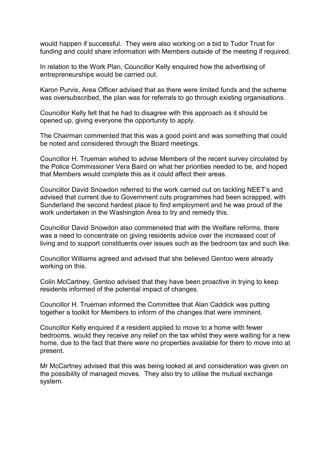would happen if successful. They were also working on a bid to Tudor Trust for funding and could share information with Members outside of the meeting if required.

In relation to the Work Plan, Councillor Kelly enquired how the advertising of entrepreneurships would be carried out.

Karon Purvis, Area Officer advised that as there were limited funds and the scheme was oversubscribed, the plan was for referrals to go through existing organisations.

Councillor Kelly felt that he had to disagree with this approach as it should be opened up, giving everyone the opportunity to apply.

The Chairman commented that this was a good point and was something that could be noted and considered through the Board meetings.

Councillor H. Trueman wished to advise Members of the recent survey circulated by the Police Commissioner Vera Baird on what her priorities needed to be, and hoped that Members would complete this as it could affect their areas.

Councillor David Snowdon referred to the work carried out on tackling NEET's and advised that current due to Government cuts programmes had been scrapped, with Sunderland the second hardest place to find employment and he was proud of the work undertaken in the Washington Area to try and remedy this.

Councillor David Snowdon also commeneted that with the Welfare reforms, there was a need to concentrate on giving residents advice over the increased cost of living and to support constituents over issues such as the bedroom tax and such like.

Councillor Williams agreed and advised that she believed Gentoo were already working on this.

Colin McCartney, Gentoo advised that they have been proactive in trying to keep residents informed of the potential impact of changes.

Councillor H. Trueman informed the Committee that Alan Caddick was putting together a toolkit for Members to inform of the changes that were imminent.

Councillor Kelly enquired if a resident applied to move to a home with fewer bedrooms, would they receive any relief on the tax whilst they were waiting for a new home, due to the fact that there were no properties available for them to move into at present.

Mr McCartney advised that this was being looked at and consideration was given on the possibility of managed moves. They also try to utilise the mutual exchange system.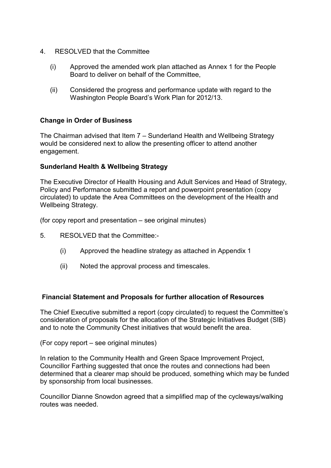- 4. RESOLVED that the Committee
	- (i) Approved the amended work plan attached as Annex 1 for the People Board to deliver on behalf of the Committee,
	- (ii) Considered the progress and performance update with regard to the Washington People Board's Work Plan for 2012/13.

# **Change in Order of Business**

The Chairman advised that Item 7 – Sunderland Health and Wellbeing Strategy would be considered next to allow the presenting officer to attend another engagement.

# **Sunderland Health & Wellbeing Strategy**

The Executive Director of Health Housing and Adult Services and Head of Strategy, Policy and Performance submitted a report and powerpoint presentation (copy circulated) to update the Area Committees on the development of the Health and Wellbeing Strategy.

(for copy report and presentation – see original minutes)

- 5. RESOLVED that the Committee:-
	- (i) Approved the headline strategy as attached in Appendix 1
	- (ii) Noted the approval process and timescales.

## **Financial Statement and Proposals for further allocation of Resources**

The Chief Executive submitted a report (copy circulated) to request the Committee's consideration of proposals for the allocation of the Strategic Initiatives Budget (SIB) and to note the Community Chest initiatives that would benefit the area.

(For copy report – see original minutes)

In relation to the Community Health and Green Space Improvement Project, Councillor Farthing suggested that once the routes and connections had been determined that a clearer map should be produced, something which may be funded by sponsorship from local businesses.

Councillor Dianne Snowdon agreed that a simplified map of the cycleways/walking routes was needed.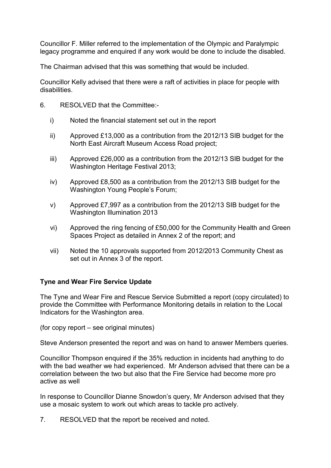Councillor F. Miller referred to the implementation of the Olympic and Paralympic legacy programme and enquired if any work would be done to include the disabled.

The Chairman advised that this was something that would be included.

Councillor Kelly advised that there were a raft of activities in place for people with disabilities.

- 6. RESOLVED that the Committee:
	- i) Noted the financial statement set out in the report
	- ii) Approved £13,000 as a contribution from the 2012/13 SIB budget for the North East Aircraft Museum Access Road project;
	- iii) Approved £26,000 as a contribution from the 2012/13 SIB budget for the Washington Heritage Festival 2013;
	- iv) Approved £8,500 as a contribution from the 2012/13 SIB budget for the Washington Young People's Forum;
	- v) Approved £7,997 as a contribution from the 2012/13 SIB budget for the Washington Illumination 2013
	- vi) Approved the ring fencing of £50,000 for the Community Health and Green Spaces Project as detailed in Annex 2 of the report; and
	- vii) Noted the 10 approvals supported from 2012/2013 Community Chest as set out in Annex 3 of the report.

# **Tyne and Wear Fire Service Update**

The Tyne and Wear Fire and Rescue Service Submitted a report (copy circulated) to provide the Committee with Performance Monitoring details in relation to the Local Indicators for the Washington area.

(for copy report – see original minutes)

Steve Anderson presented the report and was on hand to answer Members queries.

Councillor Thompson enquired if the 35% reduction in incidents had anything to do with the bad weather we had experienced. Mr Anderson advised that there can be a correlation between the two but also that the Fire Service had become more pro active as well

In response to Councillor Dianne Snowdon's query, Mr Anderson advised that they use a mosaic system to work out which areas to tackle pro actively.

7. RESOLVED that the report be received and noted.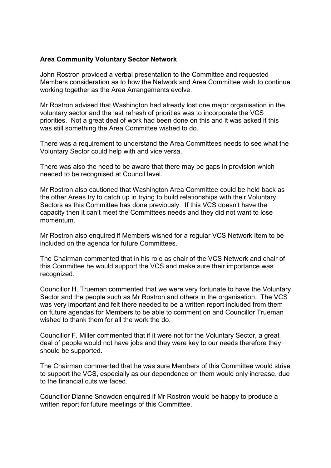#### **Area Community Voluntary Sector Network**

John Rostron provided a verbal presentation to the Committee and requested Members consideration as to how the Network and Area Committee wish to continue working together as the Area Arrangements evolve.

Mr Rostron advised that Washington had already lost one major organisation in the voluntary sector and the last refresh of priorities was to incorporate the VCS priorities. Not a great deal of work had been done on this and it was asked if this was still something the Area Committee wished to do.

There was a requirement to understand the Area Committees needs to see what the Voluntary Sector could help with and vice versa.

There was also the need to be aware that there may be gaps in provision which needed to be recognised at Council level.

Mr Rostron also cautioned that Washington Area Committee could be held back as the other Areas try to catch up in trying to build relationships with their Voluntary Sectors as this Committee has done previously. If this VCS doesn't have the capacity then it can't meet the Committees needs and they did not want to lose momentum.

Mr Rostron also enquired if Members wished for a regular VCS Network Item to be included on the agenda for future Committees.

The Chairman commented that in his role as chair of the VCS Network and chair of this Committee he would support the VCS and make sure their importance was recognized.

Councillor H. Trueman commented that we were very fortunate to have the Voluntary Sector and the people such as Mr Rostron and others in the organisation. The VCS was very important and felt there needed to be a written report included from them on future agendas for Members to be able to comment on and Councillor Trueman wished to thank them for all the work the do.

Councillor F. Miller commented that if it were not for the Voluntary Sector, a great deal of people would not have jobs and they were key to our needs therefore they should be supported.

The Chairman commented that he was sure Members of this Committee would strive to support the VCS, especially as our dependence on them would only increase, due to the financial cuts we faced.

Councillor Dianne Snowdon enquired if Mr Rostron would be happy to produce a written report for future meetings of this Committee.